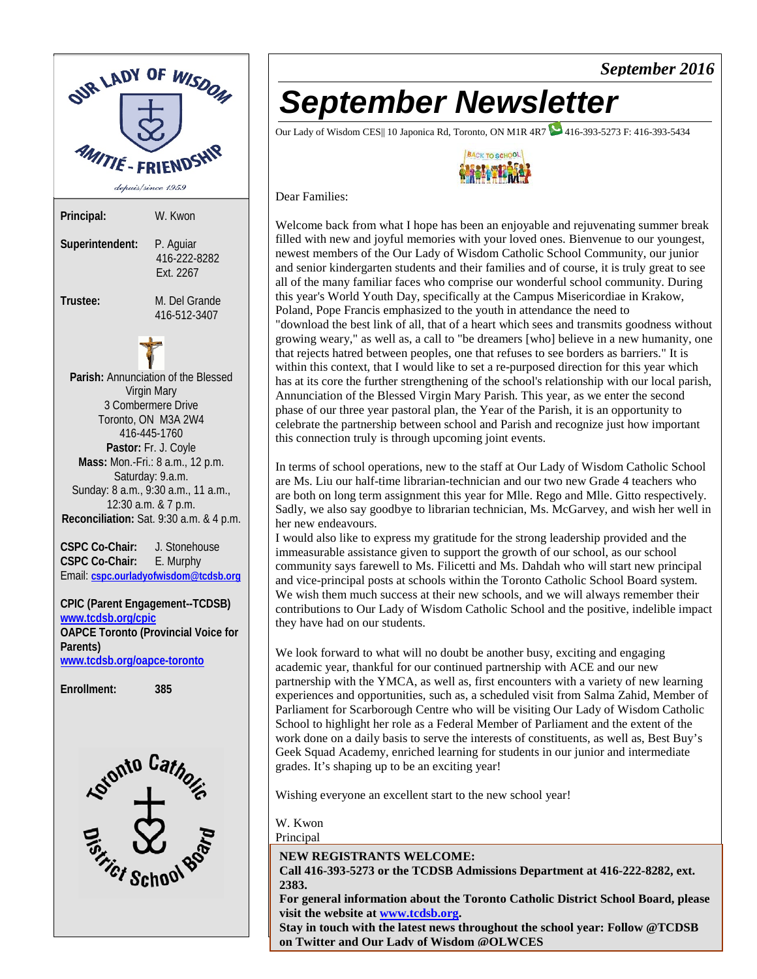

## *September Newsletter*

Our Lady of Wisdom CES|| 10 Japonica Rd, Toronto, ON M1R 4R7 416-393-5273 F: 416-393-5434



*September 2016*

#### Dear Families:

Welcome back from what I hope has been an enjoyable and rejuvenating summer break filled with new and joyful memories with your loved ones. Bienvenue to our youngest, newest members of the Our Lady of Wisdom Catholic School Community, our junior and senior kindergarten students and their families and of course, it is truly great to see all of the many familiar faces who comprise our wonderful school community. During this year's World Youth Day, specifically at the Campus Misericordiae in Krakow, Poland, Pope Francis emphasized to the youth in attendance the need to "download the best link of all, that of a heart which sees and transmits goodness without growing weary," as well as, a call to "be dreamers [who] believe in a new humanity, one that rejects hatred between peoples, one that refuses to see borders as barriers." It is within this context, that I would like to set a re-purposed direction for this year which has at its core the further strengthening of the school's relationship with our local parish, Annunciation of the Blessed Virgin Mary Parish. This year, as we enter the second phase of our three year pastoral plan, the Year of the Parish, it is an opportunity to celebrate the partnership between school and Parish and recognize just how important this connection truly is through upcoming joint events.

In terms of school operations, new to the staff at Our Lady of Wisdom Catholic School are Ms. Liu our half-time librarian-technician and our two new Grade 4 teachers who are both on long term assignment this year for Mlle. Rego and Mlle. Gitto respectively. Sadly, we also say goodbye to librarian technician, Ms. McGarvey, and wish her well in her new endeavours.

I would also like to express my gratitude for the strong leadership provided and the immeasurable assistance given to support the growth of our school, as our school community says farewell to Ms. Filicetti and Ms. Dahdah who will start new principal and vice-principal posts at schools within the Toronto Catholic School Board system. We wish them much success at their new schools, and we will always remember their contributions to Our Lady of Wisdom Catholic School and the positive, indelible impact they have had on our students.

We look forward to what will no doubt be another busy, exciting and engaging academic year, thankful for our continued partnership with ACE and our new partnership with the YMCA, as well as, first encounters with a variety of new learning experiences and opportunities, such as, a scheduled visit from Salma Zahid, Member of Parliament for Scarborough Centre who will be visiting Our Lady of Wisdom Catholic School to highlight her role as a Federal Member of Parliament and the extent of the work done on a daily basis to serve the interests of constituents, as well as, Best Buy's Geek Squad Academy, enriched learning for students in our junior and intermediate grades. It's shaping up to be an exciting year!

Wishing everyone an excellent start to the new school year!

W. Kwon

Principal

**NEW REGISTRANTS WELCOME:**

**Call 416-393-5273 or the TCDSB Admissions Department at 416-222-8282, ext. 2383.**

**For general information about the Toronto Catholic District School Board, please visit the website at [www.tcdsb.org.](http://www.tcdsb.org/)**

**Stay in touch with the latest news throughout the school year: Follow @TCDSB on Twitter and Our Lady of Wisdom @OLWCES**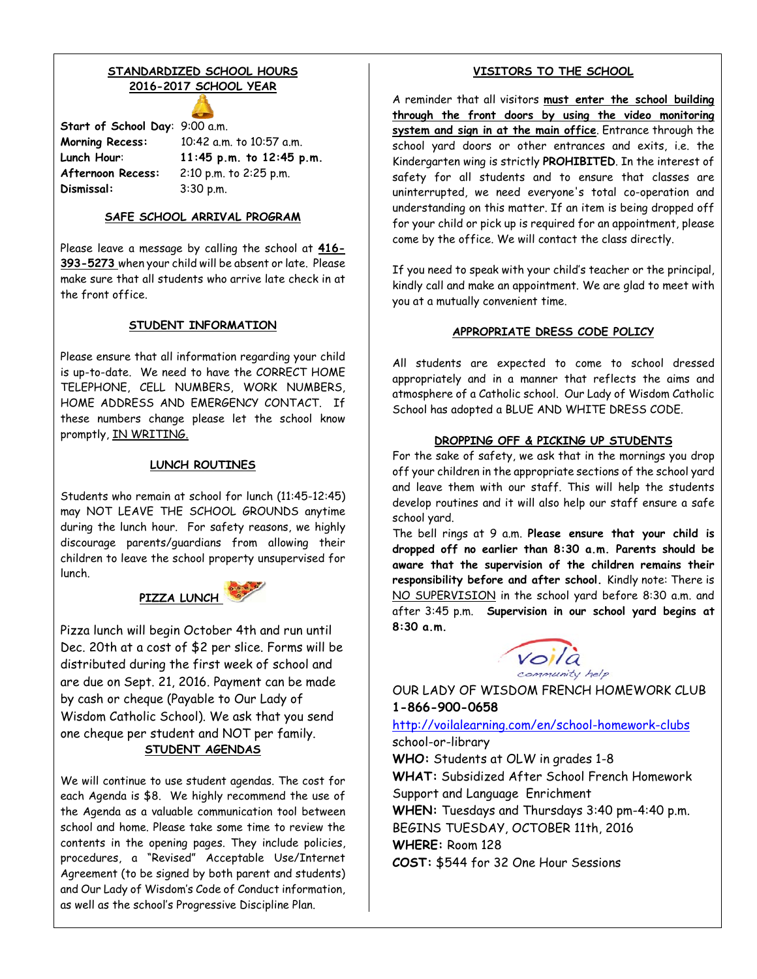### **STANDARDIZED SCHOOL HOURS 2016-2017 SCHOOL YEAR**

**Start of School Day**: 9:00 a.m. **Morning Recess:** 10:42 a.m. to 10:57 a.m. **Afternoon Recess:** 2:10 p.m. to 2:25 p.m. **Dismissal:** 3:30 p.m.

**Lunch Hour**: **11:45 p.m. to 12:45 p.m.**

#### **SAFE SCHOOL ARRIVAL PROGRAM**

Please leave a message by calling the school at **416- 393-5273** when your child will be absent or late. Please make sure that all students who arrive late check in at the front office.

#### **STUDENT INFORMATION**

Please ensure that all information regarding your child is up-to-date. We need to have the CORRECT HOME TELEPHONE, CELL NUMBERS, WORK NUMBERS, HOME ADDRESS AND EMERGENCY CONTACT. If these numbers change please let the school know promptly, IN WRITING.

#### **LUNCH ROUTINES**

Students who remain at school for lunch (11:45-12:45) may NOT LEAVE THE SCHOOL GROUNDS anytime during the lunch hour. For safety reasons, we highly discourage parents/guardians from allowing their children to leave the school property unsupervised for lunch.

## PIZZA LUNCH

Pizza lunch will begin October 4th and run until Dec. 20th at a cost of \$2 per slice. Forms will be distributed during the first week of school and are due on Sept. 21, 2016. Payment can be made by cash or cheque (Payable to Our Lady of Wisdom Catholic School). We ask that you send one cheque per student and NOT per family. **STUDENT AGENDAS**

We will continue to use student agendas. The cost for each Agenda is \$8. We highly recommend the use of the Agenda as a valuable communication tool between school and home. Please take some time to review the contents in the opening pages. They include policies, procedures, a "Revised" Acceptable Use/Internet Agreement (to be signed by both parent and students) and Our Lady of Wisdom's Code of Conduct information, as well as the school's Progressive Discipline Plan.

#### **VISITORS TO THE SCHOOL**

A reminder that all visitors **must enter the school building through the front doors by using the video monitoring system and sign in at the main office**. Entrance through the school yard doors or other entrances and exits, i.e. the Kindergarten wing is strictly **PROHIBITED**. In the interest of safety for all students and to ensure that classes are uninterrupted, we need everyone's total co-operation and understanding on this matter. If an item is being dropped off for your child or pick up is required for an appointment, please come by the office. We will contact the class directly.

If you need to speak with your child's teacher or the principal, kindly call and make an appointment. We are glad to meet with you at a mutually convenient time.

#### **APPROPRIATE DRESS CODE POLICY**

All students are expected to come to school dressed appropriately and in a manner that reflects the aims and atmosphere of a Catholic school. Our Lady of Wisdom Catholic School has adopted a BLUE AND WHITE DRESS CODE.

#### **DROPPING OFF & PICKING UP STUDENTS**

For the sake of safety, we ask that in the mornings you drop off your children in the appropriate sections of the school yard and leave them with our staff. This will help the students develop routines and it will also help our staff ensure a safe school yard.

The bell rings at 9 a.m. **Please ensure that your child is dropped off no earlier than 8:30 a.m. Parents should be aware that the supervision of the children remains their responsibility before and after school.** Kindly note: There is NO SUPERVISION in the school yard before 8:30 a.m. and after 3:45 p.m. **Supervision in our school yard begins at 8:30 a.m.** 



OUR LADY OF WISDOM FRENCH HOMEWORK CLUB **1-866-900-0658**

<http://voilalearning.com/en/school-homework-clubs> school-or-library

**WHO:** Students at OLW in grades 1-8 **WHAT:** Subsidized After School French Homework Support and Language Enrichment **WHEN:** Tuesdays and Thursdays 3:40 pm-4:40 p.m. BEGINS TUESDAY, OCTOBER 11th, 2016 **WHERE:** Room 128 **COST:** \$544 for 32 One Hour Sessions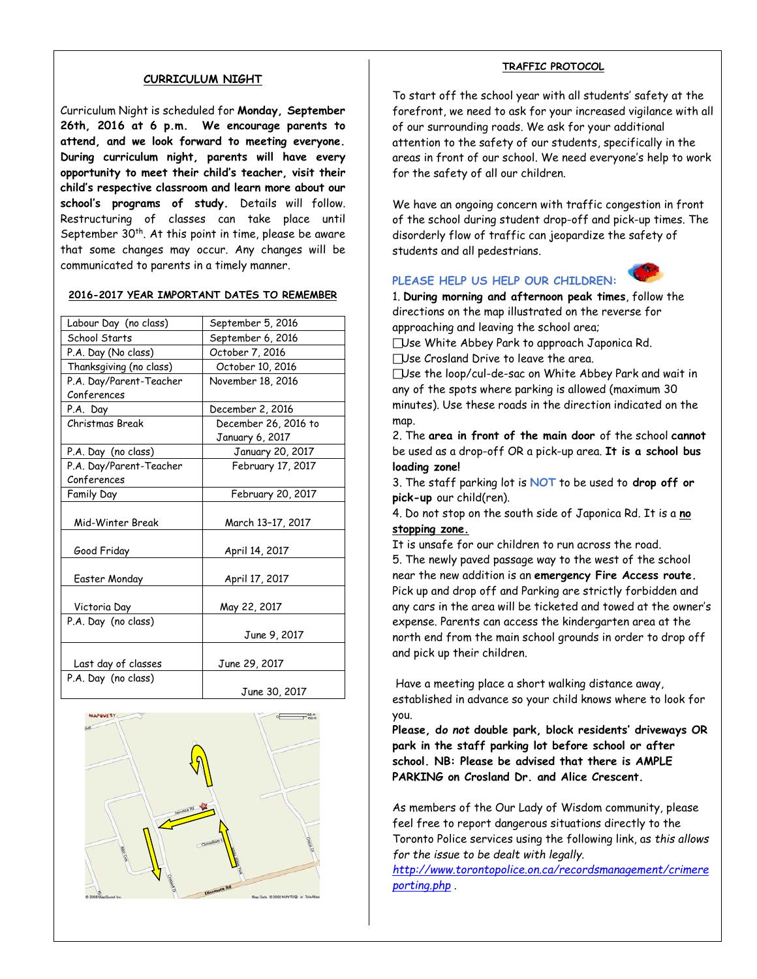#### **CURRICULUM NIGHT**

Curriculum Night is scheduled for **Monday, September 26th, 2016 at 6 p.m. We encourage parents to attend, and we look forward to meeting everyone. During curriculum night, parents will have every opportunity to meet their child's teacher, visit their child's respective classroom and learn more about our school's programs of study.** Details will follow. Restructuring of classes can take place until September  $30<sup>th</sup>$ . At this point in time, please be aware that some changes may occur. Any changes will be communicated to parents in a timely manner.

#### **2016-2017 YEAR IMPORTANT DATES TO REMEMBER**

| Labour Day (no class)   |                      |  |  |  |
|-------------------------|----------------------|--|--|--|
|                         | September 5, 2016    |  |  |  |
| School Starts           | September 6, 2016    |  |  |  |
| P.A. Day (No class)     | October 7, 2016      |  |  |  |
| Thanksgiving (no class) | October 10, 2016     |  |  |  |
| P.A. Day/Parent-Teacher | November 18, 2016    |  |  |  |
| Conferences             |                      |  |  |  |
| P.A. Day                | December 2, 2016     |  |  |  |
| Christmas Break         | December 26, 2016 to |  |  |  |
|                         | January 6, 2017      |  |  |  |
| P.A. Day (no class)     | January 20, 2017     |  |  |  |
| P.A. Day/Parent-Teacher | February 17, 2017    |  |  |  |
| Conferences             |                      |  |  |  |
| Family Day              | February 20, 2017    |  |  |  |
| Mid-Winter Break        | March 13-17, 2017    |  |  |  |
|                         |                      |  |  |  |
| Good Friday             | April 14, 2017       |  |  |  |
|                         |                      |  |  |  |
| Easter Monday           | April 17, 2017       |  |  |  |
|                         |                      |  |  |  |
| Victoria Day            | May 22, 2017         |  |  |  |
| P.A. Day (no class)     |                      |  |  |  |
|                         | June 9, 2017         |  |  |  |
|                         |                      |  |  |  |
| Last day of classes     | June 29, 2017        |  |  |  |
| P.A. Day (no class)     |                      |  |  |  |
|                         | June 30, 2017        |  |  |  |



#### **TRAFFIC PROTOCOL**

To start off the school year with all students' safety at the forefront, we need to ask for your increased vigilance with all of our surrounding roads. We ask for your additional attention to the safety of our students, specifically in the areas in front of our school. We need everyone's help to work for the safety of all our children.

We have an ongoing concern with traffic congestion in front of the school during student drop-off and pick-up times. The disorderly flow of traffic can jeopardize the safety of students and all pedestrians.

#### **PLEASE HELP US HELP OUR CHILDREN:**



1. **During morning and afternoon peak times**, follow the directions on the map illustrated on the reverse for approaching and leaving the school area;

Use White Abbey Park to approach Japonica Rd.

Use Crosland Drive to leave the area.

Use the loop/cul-de-sac on White Abbey Park and wait in any of the spots where parking is allowed (maximum 30 minutes). Use these roads in the direction indicated on the map.

2. The **area in front of the main door** of the school **cannot** be used as a drop-off OR a pick-up area. **It is a school bus loading zone!**

3. The staff parking lot is **NOT** to be used to **drop off or pick-up** our child(ren).

4. Do not stop on the south side of Japonica Rd. It is a **no stopping zone.** 

It is unsafe for our children to run across the road.

5. The newly paved passage way to the west of the school near the new addition is an **emergency Fire Access route.** Pick up and drop off and Parking are strictly forbidden and any cars in the area will be ticketed and towed at the owner's expense. Parents can access the kindergarten area at the north end from the main school grounds in order to drop off and pick up their children.

Have a meeting place a short walking distance away, established in advance so your child knows where to look for you.

**Please, d***o not* **double park, block residents' driveways OR park in the staff parking lot before school or after school. NB: Please be advised that there is AMPLE PARKING on Crosland Dr. and Alice Crescent.**

As members of the Our Lady of Wisdom community, please feel free to report dangerous situations directly to the Toronto Police services using the following link, as *this allows for the issue to be dealt with legally.*

*[http://www.torontopolice.on.ca/recordsmanagement/crimere](http://www.torontopolice.on.ca/recordsmanagement/crimereporting.php) [porting.php](http://www.torontopolice.on.ca/recordsmanagement/crimereporting.php) .*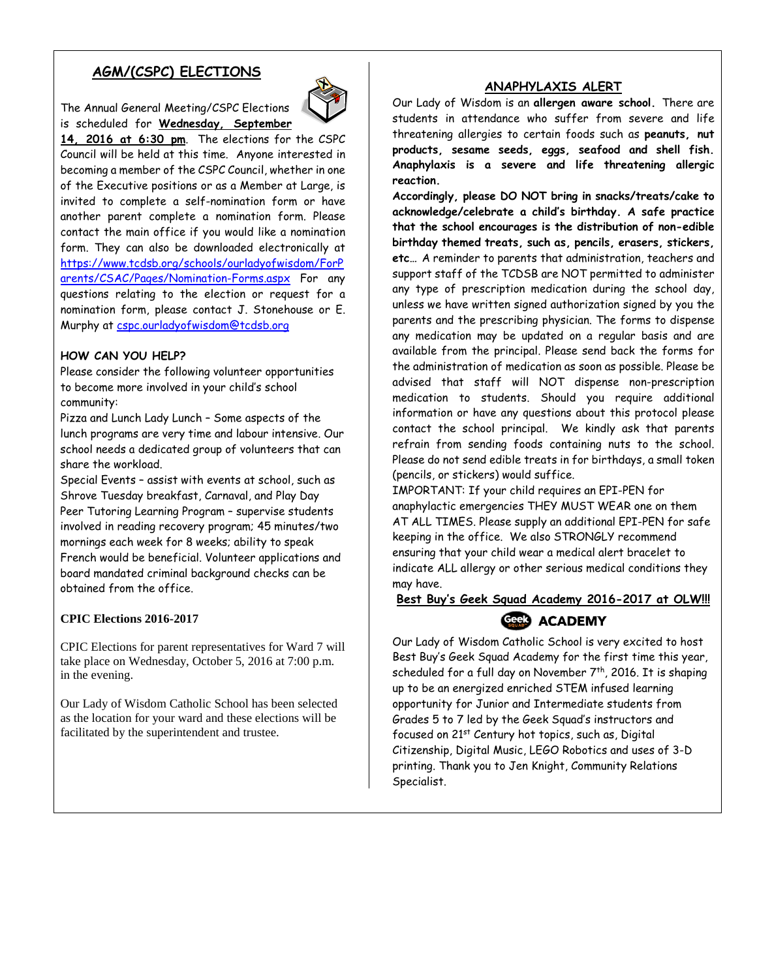## **AGM/(CSPC) ELECTIONS**

The Annual General Meeting/CSPC Elections is scheduled for **Wednesday, September** 



**14, 2016 at 6:30 pm**. The elections for the CSPC Council will be held at this time. Anyone interested in becoming a member of the CSPC Council, whether in one of the Executive positions or as a Member at Large, is invited to complete a self-nomination form or have another parent complete a nomination form. Please contact the main office if you would like a nomination form. They can also be downloaded electronically at [https://www.tcdsb.org/schools/ourladyofwisdom/ForP](https://www.tcdsb.org/schools/ourladyofwisdom/ForParents/CSAC/Pages/Nomination-Forms.aspx) [arents/CSAC/Pages/Nomination-Forms.aspx](https://www.tcdsb.org/schools/ourladyofwisdom/ForParents/CSAC/Pages/Nomination-Forms.aspx) For any questions relating to the election or request for a nomination form, please contact J. Stonehouse or E. Murphy at [cspc.ourladyofwisdom@tcdsb.org](mailto:cspc.ourladyofwisdom@tcdsb.org)

#### **HOW CAN YOU HELP?**

Please consider the following volunteer opportunities to become more involved in your child's school community:

Pizza and Lunch Lady Lunch – Some aspects of the lunch programs are very time and labour intensive. Our school needs a dedicated group of volunteers that can share the workload.

Special Events – assist with events at school, such as Shrove Tuesday breakfast, Carnaval, and Play Day Peer Tutoring Learning Program – supervise students involved in reading recovery program; 45 minutes/two mornings each week for 8 weeks; ability to speak French would be beneficial. Volunteer applications and board mandated criminal background checks can be obtained from the office.

#### **CPIC Elections 2016-2017**

CPIC Elections for parent representatives for Ward 7 will take place on Wednesday, October 5, 2016 at 7:00 p.m. in the evening.

Our Lady of Wisdom Catholic School has been selected as the location for your ward and these elections will be facilitated by the superintendent and trustee.

### **ANAPHYLAXIS ALERT**

Our Lady of Wisdom is an **allergen aware school.** There are students in attendance who suffer from severe and life threatening allergies to certain foods such as **peanuts, nut products, sesame seeds, eggs, seafood and shell fish. Anaphylaxis is a severe and life threatening allergic reaction.** 

**Accordingly, please DO NOT bring in snacks/treats/cake to acknowledge/celebrate a child's birthday. A safe practice that the school encourages is the distribution of non-edible birthday themed treats, such as, pencils, erasers, stickers, etc…** A reminder to parents that administration, teachers and support staff of the TCDSB are NOT permitted to administer any type of prescription medication during the school day, unless we have written signed authorization signed by you the parents and the prescribing physician. The forms to dispense any medication may be updated on a regular basis and are available from the principal. Please send back the forms for the administration of medication as soon as possible. Please be advised that staff will NOT dispense non-prescription medication to students. Should you require additional information or have any questions about this protocol please contact the school principal. We kindly ask that parents refrain from sending foods containing nuts to the school. Please do not send edible treats in for birthdays, a small token (pencils, or stickers) would suffice.

IMPORTANT: If your child requires an EPI-PEN for anaphylactic emergencies THEY MUST WEAR one on them AT ALL TIMES. Please supply an additional EPI-PEN for safe keeping in the office. We also STRONGLY recommend ensuring that your child wear a medical alert bracelet to indicate ALL allergy or other serious medical conditions they may have.

## **Best Buy's Geek Squad Academy 2016-2017 at OLW!!!** Geels ACADEMY

Our Lady of Wisdom Catholic School is very excited to host Best Buy's Geek Squad Academy for the first time this year, scheduled for a full day on November  $7<sup>th</sup>$ , 2016. It is shaping up to be an energized enriched STEM infused learning opportunity for Junior and Intermediate students from Grades 5 to 7 led by the Geek Squad's instructors and focused on 21st Century hot topics, such as, Digital Citizenship, Digital Music, LEGO Robotics and uses of 3-D printing. Thank you to Jen Knight, Community Relations Specialist.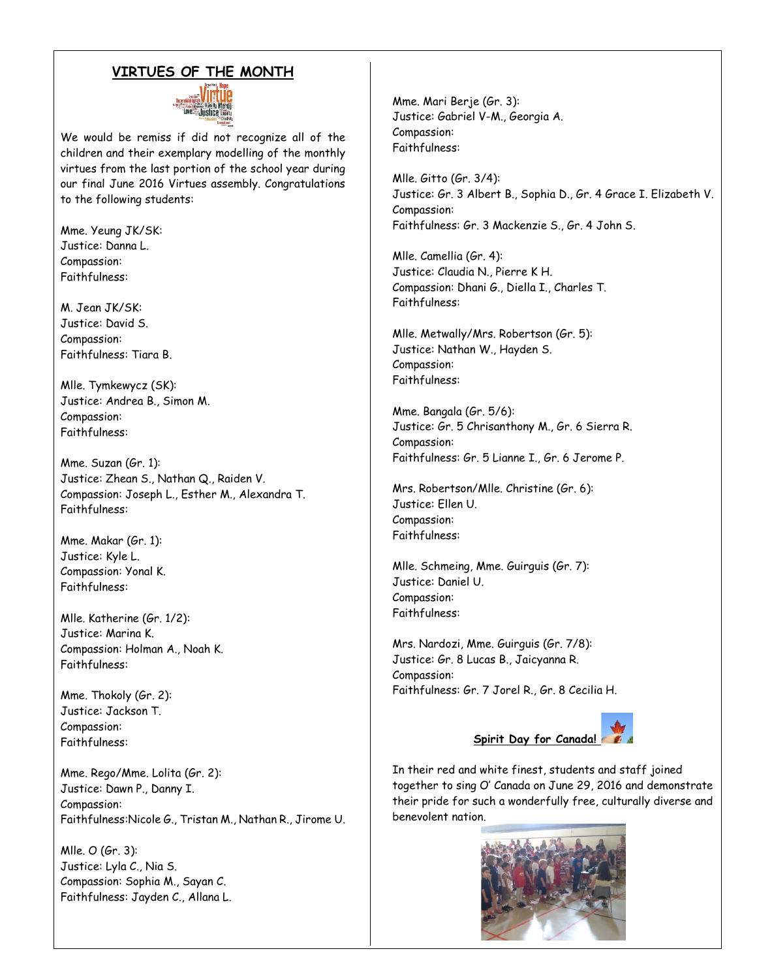### **VIRTUES OF THE MONTH**



We would be remiss if did not recognize all of the children and their exemplary modelling of the monthly virtues from the last portion of the school year during our final June 2016 Virtues assembly. Congratulations to the following students:

Mme. Yeung JK/SK: Justice: Danna L. Compassion: Faithfulness:

M. Jean JK/SK: Justice: David S. Compassion: Faithfulness: Tiara B.

Mlle. Tymkewycz (SK): Justice: Andrea B., Simon M. Compassion: Faithfulness:

Mme. Suzan (Gr. 1): Justice: Zhean S., Nathan Q., Raiden V. Compassion: Joseph L., Esther M., Alexandra T. Faithfulness:

Mme. Makar (Gr. 1): Justice: Kyle L. Compassion: Yonal K. Faithfulness:

Mlle. Katherine (Gr. 1/2): Justice: Marina K. Compassion: Holman A., Noah K. Faithfulness:

Mme. Thokoly (Gr. 2): Justice: Jackson T. Compassion: Faithfulness:

Mme. Rego/Mme. Lolita (Gr. 2): Justice: Dawn P., Danny I. Compassion: Faithfulness:Nicole G., Tristan M., Nathan R., Jirome U.

Mlle. O (Gr. 3): Justice: Lyla C., Nia S. Compassion: Sophia M., Sayan C. Faithfulness: Jayden C., Allana L. Mme. Mari Berje (Gr. 3): Justice: Gabriel V-M., Georgia A. Compassion: Faithfulness:

Mlle. Gitto (Gr. 3/4): Justice: Gr. 3 Albert B., Sophia D., Gr. 4 Grace I. Elizabeth V. Compassion: Faithfulness: Gr. 3 Mackenzie S., Gr. 4 John S.

Mlle. Camellia (Gr. 4): Justice: Claudia N., Pierre K H. Compassion: Dhani G., Diella I., Charles T. Faithfulness:

Mlle. Metwally/Mrs. Robertson (Gr. 5): Justice: Nathan W., Hayden S. Compassion: Faithfulness:

Mme. Bangala (Gr. 5/6): Justice: Gr. 5 Chrisanthony M., Gr. 6 Sierra R. Compassion: Faithfulness: Gr. 5 Lianne I., Gr. 6 Jerome P.

Mrs. Robertson/Mlle. Christine (Gr. 6): Justice: Ellen U. Compassion: Faithfulness:

Mlle. Schmeing, Mme. Guirguis (Gr. 7): Justice: Daniel U. Compassion: Faithfulness:

Mrs. Nardozi, Mme. Guirguis (Gr. 7/8): Justice: Gr. 8 Lucas B., Jaicyanna R. Compassion: Faithfulness: Gr. 7 Jorel R., Gr. 8 Cecilia H.



In their red and white finest, students and staff joined together to sing O' Canada on June 29, 2016 and demonstrate their pride for such a wonderfully free, culturally diverse and benevolent nation.

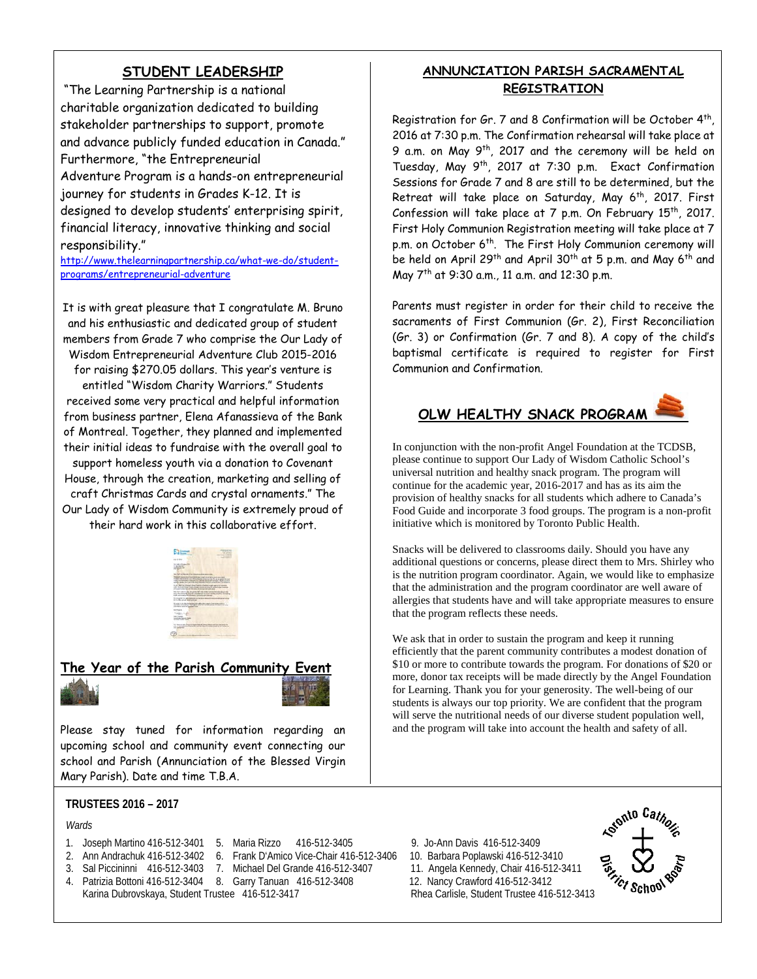## **STUDENT LEADERSHIP**

"The Learning Partnership is a national charitable organization dedicated to building stakeholder partnerships to support, promote and advance publicly funded education in Canada." Furthermore, "the Entrepreneurial Adventure Program is a hands-on entrepreneurial journey for students in Grades K-12. It is designed to develop students' enterprising spirit, financial literacy, innovative thinking and social responsibility."

[http://www.thelearningpartnership.ca/what-we-do/student](http://www.thelearningpartnership.ca/what-we-do/student-programs/entrepreneurial-adventure)[programs/entrepreneurial-adventure](http://www.thelearningpartnership.ca/what-we-do/student-programs/entrepreneurial-adventure)

It is with great pleasure that I congratulate M. Bruno and his enthusiastic and dedicated group of student members from Grade 7 who comprise the Our Lady of Wisdom Entrepreneurial Adventure Club 2015-2016 for raising \$270.05 dollars. This year's venture is entitled "Wisdom Charity Warriors." Students received some very practical and helpful information from business partner, Elena Afanassieva of the Bank of Montreal. Together, they planned and implemented their initial ideas to fundraise with the overall goal to support homeless youth via a donation to Covenant House, through the creation, marketing and selling of craft Christmas Cards and crystal ornaments." The Our Lady of Wisdom Community is extremely proud of their hard work in this collaborative effort.



## **The Year of the Parish Community**



Please stay tuned for information regarding an upcoming school and community event connecting our school and Parish (Annunciation of the Blessed Virgin Mary Parish). Date and time T.B.A.

#### **TRUSTEES 2016 – 2017**

#### *Wards*

- 
- 1. Joseph Martino 416-512-3401 5. Maria Rizzo 416-512-3405 9. Jo-Ann Davis 416-512-3409 2. Ann Andrachuk 416-512-3402 6. Frank D'Amico Vice-Chair 416-512-3406
- 3. Sal Piccininni 416-512-3403 7. Michael Del Grande 416-512-3407 11. Angela Kennedy, Chair 416-512-3411
- 4. Patrizia Bottoni 416-512-3404 8. Garry Tanuan 416-512-3408 12. Nancy Crawford 416-512-3412 Karina Dubrovskaya, Student Trustee 416-512-3417 Rhea Carlisle, Student Trustee 416-512-3413

## **ANNUNCIATION PARISH SACRAMENTAL REGISTRATION**

Registration for Gr. 7 and 8 Confirmation will be October 4th, 2016 at 7:30 p.m. The Confirmation rehearsal will take place at 9 a.m. on May 9th, 2017 and the ceremony will be held on Tuesday, May 9th, 2017 at 7:30 p.m. Exact Confirmation Sessions for Grade 7 and 8 are still to be determined, but the Retreat will take place on Saturday, May 6<sup>th</sup>, 2017. First Confession will take place at 7 p.m. On February 15<sup>th</sup>, 2017. First Holy Communion Registration meeting will take place at 7 p.m. on October 6<sup>th</sup>. The First Holy Communion ceremony will be held on April 29<sup>th</sup> and April 30<sup>th</sup> at 5 p.m. and May 6<sup>th</sup> and May 7th at 9:30 a.m., 11 a.m. and 12:30 p.m.

Parents must register in order for their child to receive the sacraments of First Communion (Gr. 2), First Reconciliation (Gr. 3) or Confirmation (Gr. 7 and 8). A copy of the child's baptismal certificate is required to register for First Communion and Confirmation.

## **OLW HEALTHY SNACK PROGRAM**

In conjunction with the non-profit Angel Foundation at the TCDSB, please continue to support Our Lady of Wisdom Catholic School's universal nutrition and healthy snack program. The program will continue for the academic year, 2016-2017 and has as its aim the provision of healthy snacks for all students which adhere to Canada's Food Guide and incorporate 3 food groups. The program is a non-profit initiative which is monitored by Toronto Public Health.

Snacks will be delivered to classrooms daily. Should you have any additional questions or concerns, please direct them to Mrs. Shirley who is the nutrition program coordinator. Again, we would like to emphasize that the administration and the program coordinator are well aware of allergies that students have and will take appropriate measures to ensure that the program reflects these needs.

We ask that in order to sustain the program and keep it running efficiently that the parent community contributes a modest donation of \$10 or more to contribute towards the program. For donations of \$20 or more, donor tax receipts will be made directly by the Angel Foundation for Learning. Thank you for your generosity. The well-being of our students is always our top priority. We are confident that the program will serve the nutritional needs of our diverse student population well, and the program will take into account the health and safety of all.

- 
- 
- 

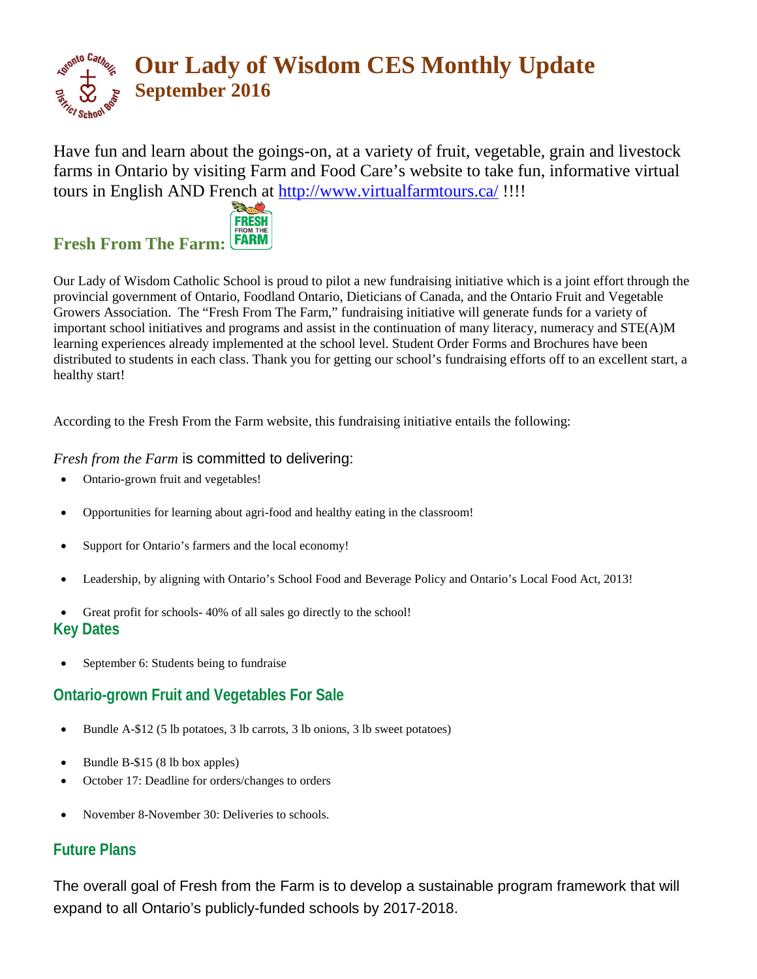

Have fun and learn about the goings-on, at a variety of fruit, vegetable, grain and livestock farms in Ontario by visiting Farm and Food Care's website to take fun, informative virtual tours in English AND French at<http://www.virtualfarmtours.ca/> !!!!



## **Fresh From The Farm:**

Our Lady of Wisdom Catholic School is proud to pilot a new fundraising initiative which is a joint effort through the provincial government of Ontario, Foodland Ontario, Dieticians of Canada, and the Ontario Fruit and Vegetable Growers Association. The "Fresh From The Farm," fundraising initiative will generate funds for a variety of important school initiatives and programs and assist in the continuation of many literacy, numeracy and STE(A)M learning experiences already implemented at the school level. Student Order Forms and Brochures have been distributed to students in each class. Thank you for getting our school's fundraising efforts off to an excellent start, a healthy start!

According to the Fresh From the Farm website, this fundraising initiative entails the following:

## *Fresh from the Farm* is committed to delivering:

- Ontario-grown fruit and vegetables!
- Opportunities for learning about agri-food and healthy eating in the classroom!
- Support for Ontario's farmers and the local economy!
- Leadership, by aligning with Ontario's School Food and Beverage Policy and Ontario's Local Food Act, 2013!
- Great profit for schools- 40% of all sales go directly to the school!

## **Key Dates**

September 6: Students being to fundraise

## **Ontario-grown Fruit and Vegetables For Sale**

- Bundle A-\$12 (5 lb potatoes, 3 lb carrots, 3 lb onions, 3 lb sweet potatoes)
- Bundle B-\$15 (8 lb box apples)
- October 17: Deadline for orders/changes to orders
- November 8-November 30: Deliveries to schools.

## **Future Plans**

The overall goal of Fresh from the Farm is to develop a sustainable program framework that will expand to all Ontario's publicly-funded schools by 2017-2018.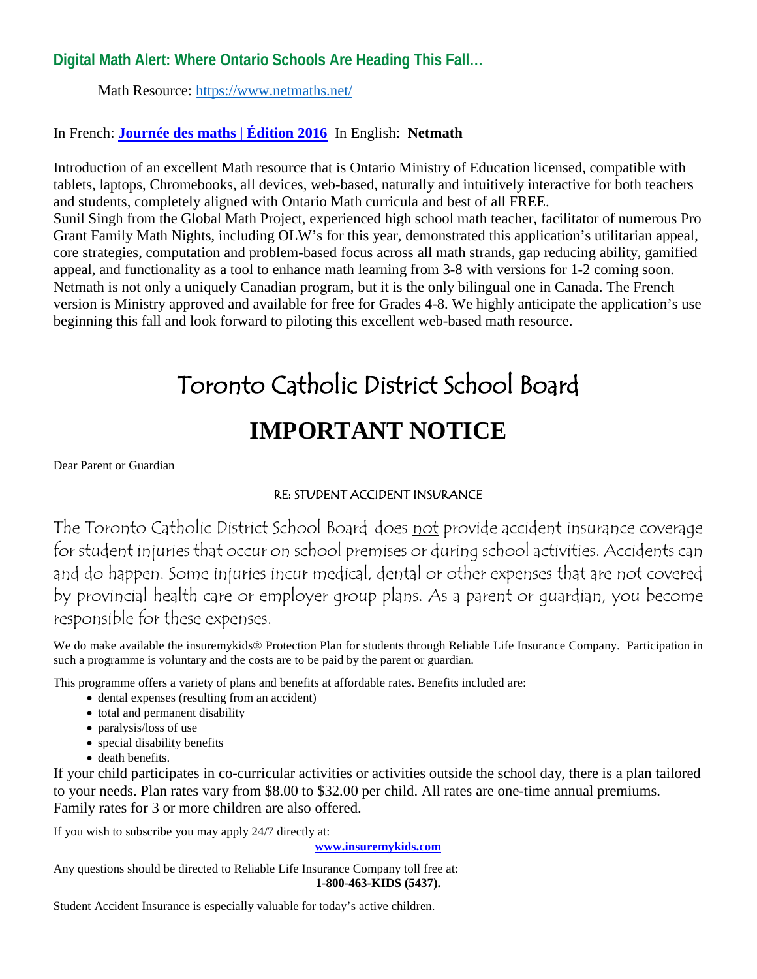## **Digital Math Alert: Where Ontario Schools Are Heading This Fall…**

Math Resource:<https://www.netmaths.net/>

## In French: **[Journée des maths | Édition 2016](https://www.journeedesmaths.com/)** In English: **Netmath**

Introduction of an excellent Math resource that is Ontario Ministry of Education licensed, compatible with tablets, laptops, Chromebooks, all devices, web-based, naturally and intuitively interactive for both teachers and students, completely aligned with Ontario Math curricula and best of all FREE. Sunil Singh from the Global Math Project, experienced high school math teacher, facilitator of numerous Pro Grant Family Math Nights, including OLW's for this year, demonstrated this application's utilitarian appeal, core strategies, computation and problem-based focus across all math strands, gap reducing ability, gamified appeal, and functionality as a tool to enhance math learning from 3-8 with versions for 1-2 coming soon. Netmath is not only a uniquely Canadian program, but it is the only bilingual one in Canada. The French version is Ministry approved and available for free for Grades 4-8. We highly anticipate the application's use beginning this fall and look forward to piloting this excellent web-based math resource.

## Toronto Catholic District School Board **IMPORTANT NOTICE**

Dear Parent or Guardian

## RE: STUDENT ACCIDENT INSURANCE

The Toronto Catholic District School Board does not provide accident insurance coverage for student injuries that occur on school premises or during school activities. Accidents can and do happen. Some injuries incur medical, dental or other expenses that are not covered by provincial health care or employer group plans. As a parent or guardian, you become responsible for these expenses.

We do make available the insuremykids® Protection Plan for students through Reliable Life Insurance Company. Participation in such a programme is voluntary and the costs are to be paid by the parent or guardian.

This programme offers a variety of plans and benefits at affordable rates. Benefits included are:

- dental expenses (resulting from an accident)
- total and permanent disability
- paralysis/loss of use
- special disability benefits
- death benefits.

If your child participates in co-curricular activities or activities outside the school day, there is a plan tailored to your needs. Plan rates vary from \$8.00 to \$32.00 per child. All rates are one-time annual premiums. Family rates for 3 or more children are also offered.

If you wish to subscribe you may apply 24/7 directly at:

**[www.insuremykids.com](http://www.insuremykids.com/)**

Any questions should be directed to Reliable Life Insurance Company toll free at: **1-800-463-KIDS (5437).**

Student Accident Insurance is especially valuable for today's active children.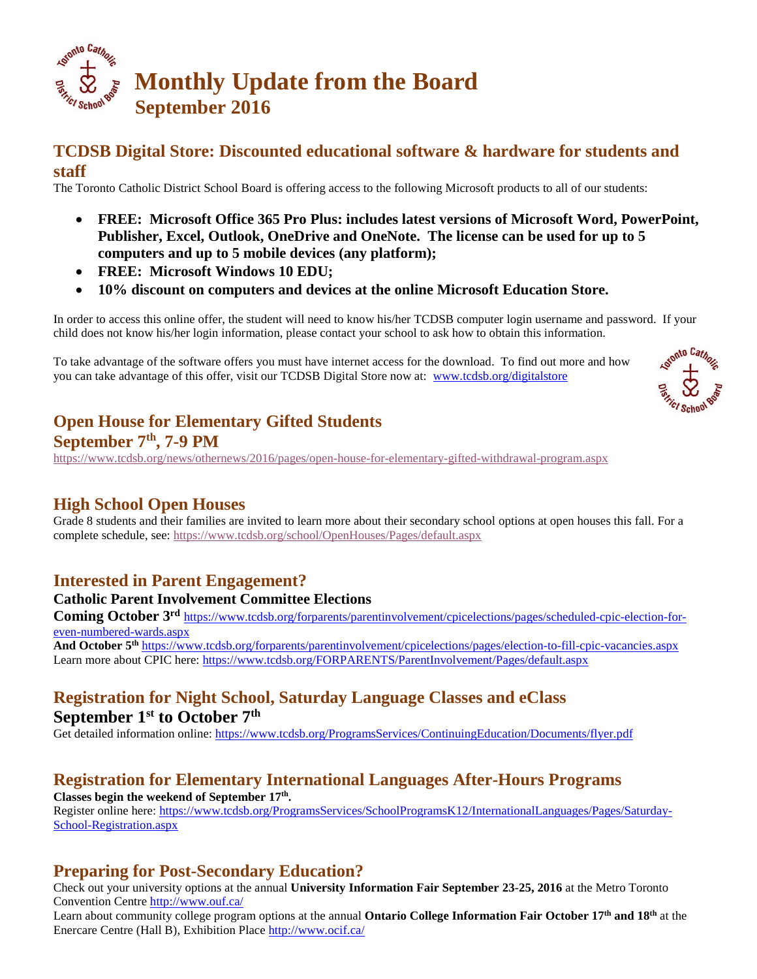

## **TCDSB Digital Store: Discounted educational software & hardware for students and staff**

The Toronto Catholic District School Board is offering access to the following Microsoft products to all of our students:

- **FREE: Microsoft Office 365 Pro Plus: includes latest versions of Microsoft Word, PowerPoint, Publisher, Excel, Outlook, OneDrive and OneNote. The license can be used for up to 5 computers and up to 5 mobile devices (any platform);**
- **FREE: Microsoft Windows 10 EDU;**
- **10% discount on computers and devices at the online Microsoft Education Store.**

In order to access this online offer, the student will need to know his/her TCDSB computer login username and password. If your child does not know his/her login information, please contact your school to ask how to obtain this information.

To take advantage of the software offers you must have internet access for the download. To find out more and how you can take advantage of this offer, visit our TCDSB Digital Store now at: [www.tcdsb.org/digitalstore](http://www.tcdsb.org/digitalstore)



## **Open House for Elementary Gifted Students**

## **September 7th, 7-9 PM**

<https://www.tcdsb.org/news/othernews/2016/pages/open-house-for-elementary-gifted-withdrawal-program.aspx>

## **High School Open Houses**

Grade 8 students and their families are invited to learn more about their secondary school options at open houses this fall. For a complete schedule, see:<https://www.tcdsb.org/school/OpenHouses/Pages/default.aspx>

## **Interested in Parent Engagement?**

### **Catholic Parent Involvement Committee Elections**

**Coming October 3<sup>rd</sup>** [https://www.tcdsb.org/forparents/parentinvolvement/cpicelections/pages/scheduled-cpic-election-for](https://www.tcdsb.org/forparents/parentinvolvement/cpicelections/pages/scheduled-cpic-election-for-even-numbered-wards.aspx)[even-numbered-wards.aspx](https://www.tcdsb.org/forparents/parentinvolvement/cpicelections/pages/scheduled-cpic-election-for-even-numbered-wards.aspx)

**And October 5th** <https://www.tcdsb.org/forparents/parentinvolvement/cpicelections/pages/election-to-fill-cpic-vacancies.aspx> Learn more about CPIC here:<https://www.tcdsb.org/FORPARENTS/ParentInvolvement/Pages/default.aspx>

## **Registration for Night School, Saturday Language Classes and eClass September 1st to October 7th**

Get detailed information online:<https://www.tcdsb.org/ProgramsServices/ContinuingEducation/Documents/flyer.pdf>

## **Registration for Elementary International Languages After-Hours Programs**

Classes begin the weekend of September 17<sup>th</sup>. Register online here: [https://www.tcdsb.org/ProgramsServices/SchoolProgramsK12/InternationalLanguages/Pages/Saturday-](https://www.tcdsb.org/ProgramsServices/SchoolProgramsK12/InternationalLanguages/Pages/Saturday-School-Registration.aspx)[School-Registration.aspx](https://www.tcdsb.org/ProgramsServices/SchoolProgramsK12/InternationalLanguages/Pages/Saturday-School-Registration.aspx)

## **Preparing for Post-Secondary Education?**

Check out your university options at the annual **University Information Fair September 23-25, 2016** at the Metro Toronto Convention Centre<http://www.ouf.ca/>

Learn about community college program options at the annual **Ontario College Information Fair October 17th and 18th** at the Enercare Centre (Hall B), Exhibition Place<http://www.ocif.ca/>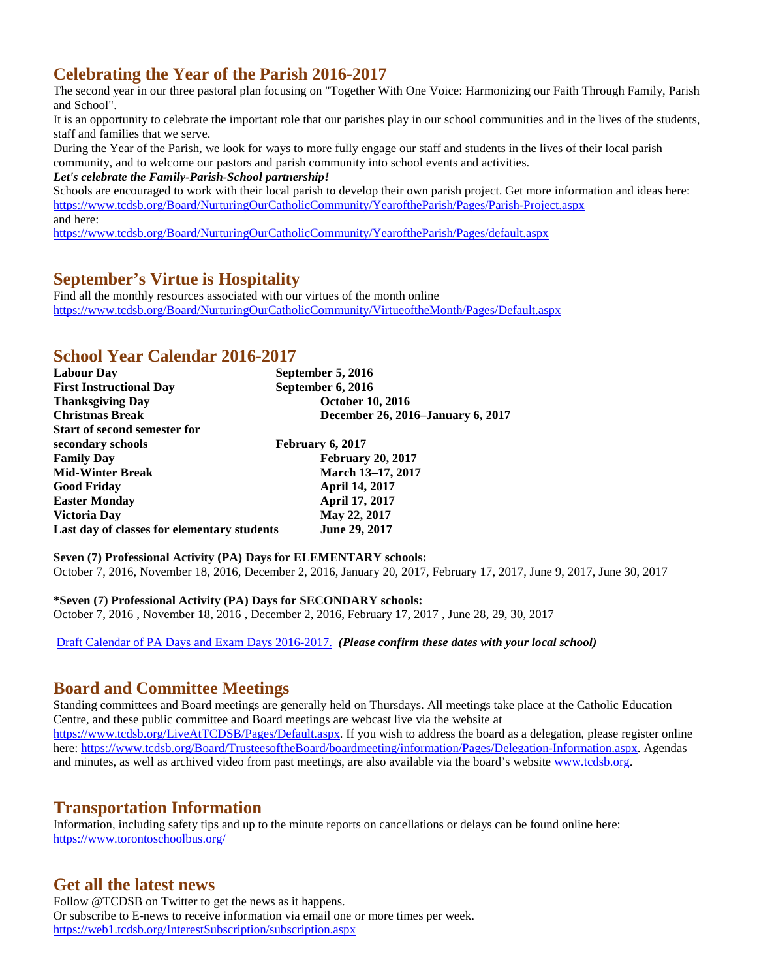## **Celebrating the Year of the Parish 2016-2017**

The second year in our three pastoral plan focusing on "Together With One Voice: Harmonizing our Faith Through Family, Parish and School".

It is an opportunity to celebrate the important role that our parishes play in our school communities and in the lives of the students, staff and families that we serve.

During the Year of the Parish, we look for ways to more fully engage our staff and students in the lives of their local parish community, and to welcome our pastors and parish community into school events and activities.

*Let's celebrate the Family-Parish-School partnership!*

Schools are encouraged to work with their local parish to develop their own parish project. Get more information and ideas here: <https://www.tcdsb.org/Board/NurturingOurCatholicCommunity/YearoftheParish/Pages/Parish-Project.aspx> and here:

<https://www.tcdsb.org/Board/NurturingOurCatholicCommunity/YearoftheParish/Pages/default.aspx>

## **September's Virtue is Hospitality**

Find all the monthly resources associated with our virtues of the month online <https://www.tcdsb.org/Board/NurturingOurCatholicCommunity/VirtueoftheMonth/Pages/Default.aspx>

## **School Year Calendar 2016-2017**

| <b>Labour Day</b>                           | September 5, 2016                 |
|---------------------------------------------|-----------------------------------|
| <b>First Instructional Day</b>              | September 6, 2016                 |
| <b>Thanksgiving Day</b>                     | <b>October 10, 2016</b>           |
| <b>Christmas Break</b>                      | December 26, 2016–January 6, 2017 |
| <b>Start of second semester for</b>         |                                   |
| secondary schools                           | February 6, 2017                  |
| <b>Family Day</b>                           | <b>February 20, 2017</b>          |
| <b>Mid-Winter Break</b>                     | March 13–17, 2017                 |
| <b>Good Friday</b>                          | <b>April 14, 2017</b>             |
| <b>Easter Monday</b>                        | April 17, 2017                    |
| Victoria Day                                | May 22, 2017                      |
| Last day of classes for elementary students | June 29, 2017                     |

**Seven (7) Professional Activity (PA) Days for ELEMENTARY schools:** October 7, 2016, November 18, 2016, December 2, 2016, January 20, 2017, February 17, 2017, June 9, 2017, June 30, 2017

**\*Seven (7) Professional Activity (PA) Days for SECONDARY schools:** October 7, 2016 , November 18, 2016 , December 2, 2016, February 17, 2017 , June 28, 29, 30, 2017

[Draft Calendar of PA Days and Exam Days 2016-2017.](https://www.tcdsb.org/school/SchoolYearCalendar/Documents/School%20Year%20Calendar%20-%20MASTER%20LIST%20by%20Superintendent%20-%202016-17.pdf) *(Please confirm these dates with your local school)*

## **Board and Committee Meetings**

Standing committees and Board meetings are generally held on Thursdays. All meetings take place at the Catholic Education Centre, and these public committee and Board meetings are webcast live via the website at [https://www.tcdsb.org/LiveAtTCDSB/Pages/Default.aspx.](https://www.tcdsb.org/LiveAtTCDSB/Pages/Default.aspx) If you wish to address the board as a delegation, please register online here[: https://www.tcdsb.org/Board/TrusteesoftheBoard/boardmeeting/information/Pages/Delegation-Information.aspx.](https://www.tcdsb.org/Board/TrusteesoftheBoard/boardmeeting/information/Pages/Delegation-Information.aspx) Agendas and minutes, as well as archived video from past meetings, are also available via the board's website [www.tcdsb.org.](http://www.tcdsb.org/)

## **Transportation Information**

Information, including safety tips and up to the minute reports on cancellations or delays can be found online here: <https://www.torontoschoolbus.org/>

## **Get all the latest news**

Follow @TCDSB on Twitter to get the news as it happens. Or subscribe to E-news to receive information via email one or more times per week. <https://web1.tcdsb.org/InterestSubscription/subscription.aspx>